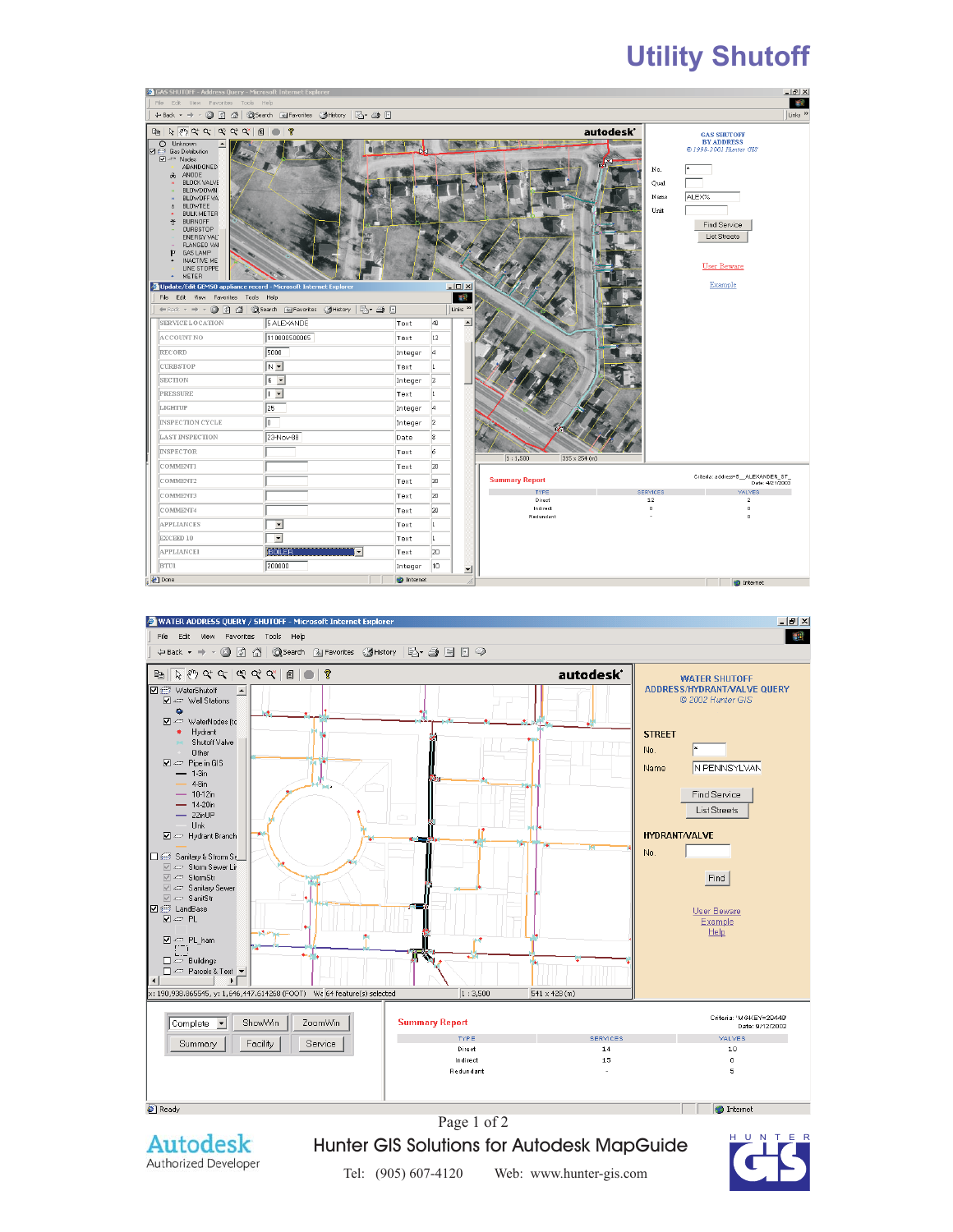# **Utility Shutoff**

| GAS SHUTOFF - Address Query - Microsoft Internet Explorer                                                                                                                                                                                                                                                                                                                                                                                              |                                           |                   |                |                                       |                                 |                       |                             | $   \times$                                                                                                                      |
|--------------------------------------------------------------------------------------------------------------------------------------------------------------------------------------------------------------------------------------------------------------------------------------------------------------------------------------------------------------------------------------------------------------------------------------------------------|-------------------------------------------|-------------------|----------------|---------------------------------------|---------------------------------|-----------------------|-----------------------------|----------------------------------------------------------------------------------------------------------------------------------|
| File Edit View Favorites Tools Help<br>←Back ▼ → → ② ② △   ③Search @Favorites ③History   2-→ ③ 回                                                                                                                                                                                                                                                                                                                                                       |                                           |                   |                |                                       |                                 |                       |                             | git:<br>Links <sup>&gt;&gt;</sup>                                                                                                |
|                                                                                                                                                                                                                                                                                                                                                                                                                                                        |                                           |                   |                |                                       |                                 |                       |                             |                                                                                                                                  |
| $\mathbb{B}   \nabla \otimes \mathbb{C}   \nabla \otimes \mathbb{C}   \nabla \otimes \mathbb{C}   \nabla \otimes \mathbb{C}  $<br>O Unknown<br>$\neg$ Gas Distribution<br>$\Box \Leftrightarrow$ Nodes<br>ABANDONED<br>& ANODE<br># BLOCK VALVE<br># BLOWDOWN<br><b>H</b> BLOWGFF VA<br>& BLOWTEE<br><b>BULK METER</b><br>$\bullet$<br>巻 BURNOFF<br>- CURBSTOP<br>ENERGY VAL<br>» FLANGED VAI<br>F GAS LAMP<br>+ INACTIVE ME<br>LINE STOPPE<br>+ METER | $\mathbb{R}$                              |                   |                |                                       |                                 | autodesk <sup>*</sup> | No.<br>Qual<br>Name<br>Unit | <b>GAS SHUTOFF</b><br><b>BY ADDRESS</b><br>© 1998-2001 Hunter GIS<br>ALEX%<br>Find Service<br>List Streets<br><b>User Beware</b> |
| Update/Edit GEMSO appliance record - Microsoft Internet Explorer                                                                                                                                                                                                                                                                                                                                                                                       |                                           |                   |                | $  \mathbb{Z}$ $\times$<br><b>SEC</b> |                                 |                       |                             | Example                                                                                                                          |
| File Edit View Favorites Tools Help<br>Links <sup>&gt;&gt;</sup><br>←Back - → - ◎ 図 企   @Search 图Favorites 《History   民 → ● 回                                                                                                                                                                                                                                                                                                                          |                                           |                   |                |                                       |                                 |                       |                             |                                                                                                                                  |
| <b>SERVICE LOCATION</b>                                                                                                                                                                                                                                                                                                                                                                                                                                | 5 ALEXANDE                                | Text              | 40             | $\blacktriangle$                      |                                 |                       |                             |                                                                                                                                  |
| ACCOUNT NO                                                                                                                                                                                                                                                                                                                                                                                                                                             | 110000500005                              | Text              | 12             |                                       |                                 |                       |                             |                                                                                                                                  |
| RECORD                                                                                                                                                                                                                                                                                                                                                                                                                                                 | 5000                                      | Integer           | и              |                                       |                                 |                       |                             |                                                                                                                                  |
| <b>CURBSTOP</b>                                                                                                                                                                                                                                                                                                                                                                                                                                        | $ N -$                                    | Text              |                |                                       |                                 |                       |                             |                                                                                                                                  |
| <b>SECTION</b>                                                                                                                                                                                                                                                                                                                                                                                                                                         | $\sqrt{6}$ $\sqrt{2}$                     | Integer           | 12             |                                       |                                 |                       |                             |                                                                                                                                  |
| <b>PRESSURE</b>                                                                                                                                                                                                                                                                                                                                                                                                                                        | ∏▼                                        | Text              |                |                                       |                                 |                       |                             |                                                                                                                                  |
| LIGHTUP                                                                                                                                                                                                                                                                                                                                                                                                                                                | 125                                       | Integer           |                |                                       |                                 |                       |                             |                                                                                                                                  |
| <b>INSPECTION CYCLE</b>                                                                                                                                                                                                                                                                                                                                                                                                                                | llo.                                      | Integer           | $\overline{2}$ |                                       |                                 |                       |                             |                                                                                                                                  |
| <b>LAST INSPECTION</b>                                                                                                                                                                                                                                                                                                                                                                                                                                 | 23-Nov-88                                 | Date              | 18             |                                       |                                 |                       |                             |                                                                                                                                  |
| <b>INSPECTOR</b>                                                                                                                                                                                                                                                                                                                                                                                                                                       |                                           | Text              | 6              |                                       | 1:1,500<br>$315 \times 254$ (m) |                       |                             |                                                                                                                                  |
| COMMENT1                                                                                                                                                                                                                                                                                                                                                                                                                                               |                                           | Text              | 20             |                                       |                                 |                       |                             |                                                                                                                                  |
| COMMENT2                                                                                                                                                                                                                                                                                                                                                                                                                                               |                                           | Text              | 20             |                                       | <b>Summary Report</b>           |                       |                             | Criteria: address=5_ALEXANDER_ST_<br>Date: 4/21/2003                                                                             |
| COMMENT3                                                                                                                                                                                                                                                                                                                                                                                                                                               |                                           | Text              | 20             |                                       | <b>TYPE</b><br>Direct           |                       | <b>SERVICES</b><br>12       | <b>VALVES</b><br>$\mathbf{z}$                                                                                                    |
| COMMENT4                                                                                                                                                                                                                                                                                                                                                                                                                                               |                                           | Text              | 20             |                                       | Indirect                        |                       | $\mathbf 0$                 | $^{\circ}$                                                                                                                       |
| <b>APPLIANCES</b>                                                                                                                                                                                                                                                                                                                                                                                                                                      | $\blacktriangledown$                      | Text              | $\mathbf{1}$   |                                       | Redundant                       |                       |                             | $\circ$                                                                                                                          |
| EXCEED 10                                                                                                                                                                                                                                                                                                                                                                                                                                              | $\vert \cdot \vert$                       | Text              | $\mathbf{1}$   |                                       |                                 |                       |                             |                                                                                                                                  |
| <b>APPLIANCEI</b>                                                                                                                                                                                                                                                                                                                                                                                                                                      | <b>BOILER</b><br>$\overline{\phantom{a}}$ | Text              | 20             |                                       |                                 |                       |                             |                                                                                                                                  |
| <b>BTU1</b>                                                                                                                                                                                                                                                                                                                                                                                                                                            | 200000                                    | Integer           | 10             | ⊻                                     |                                 |                       |                             |                                                                                                                                  |
| <b>Done</b>                                                                                                                                                                                                                                                                                                                                                                                                                                            |                                           | <b>O</b> Internet |                |                                       |                                 |                       |                             | <b>O</b> Internet                                                                                                                |





Hunter GIS Solutions for Autodesk MapGuide The Bull Term

 $\mathcal{L}(\mathcal{P}, \mathcal{P})$  for which we hunter-definition  $\mathcal{P}$